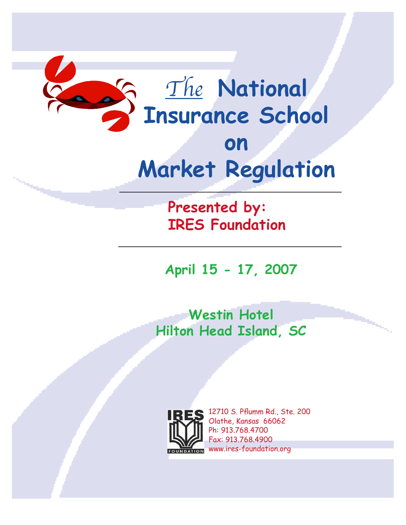

# **on Market Regulation**

**Presented by: IRES Foundation**

**April 15 - 17, 2007**

**Westin Hotel Hilton Head Island, SC**



**ES** 12710 S. Pflumm Rd., Ste. 200 Olathe, Kansas 66062 Ph: 913.768.4700 Fax: 913.768.4900 FOUNDATION WWW.ires-foundation.org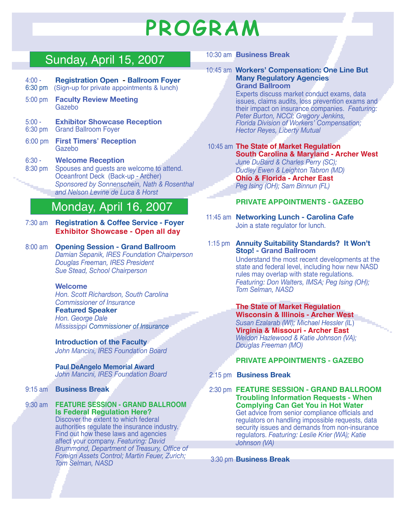# **PROGRAM**

## Sunday, April 15, 2007

- 4:00 **Registration Open Ballroom Foyer** 6:30 pm(Sign-up for private appointments & lunch)
- 
- 5:00 pm **Faculty Review Meeting** Gazebo
- 5:00 **Exhibitor Showcase Reception** 6:30 pm Grand Ballroom Foyer
- 6:00 pm **First Timers' Reception** Gazebo
- 6:30 **Welcome Reception** 8:30 pm Spouses and guests are welcome to attend.
- Oceanfront Deck (Back-up Archer) *Sponsored by Sonnenschein, Nath & Rosenthal and Nelson Levine de Luca & Horst*

## Monday, April 16, 2007

- 7:30 am **Registration & Coffee Service Foyer Exhibitor Showcase - Open all day**
- 8:00 am **Opening Session Grand Ballroom** *Damian Sepanik, IRES Foundation Chairperson Douglas Freeman, IRES President Sue Stead, School Chairperson*

#### **Welcome**

*Hon. Scott Richardson, South Carolina Commissioner of Insurance* **Featured Speaker** *Hon. George Dale Mississippi Commissioner of Insurance*

**Introduction of the Faculty** *John Mancini, IRES Foundation Board*

#### **Paul DeAngelo Memorial Award** *John Mancini, IRES Foundation Board*

- 9:15 am **Business Break**
- 9:30 am **FEATURE SESSION GRAND BALLROOM Is Federal Regulation Here?** Discover the extent to which federal authorities regulate the insurance industry. Find out how these laws and agencies affect your company. *Featuring: David Brummond, Department of Treasury, Offce of Foreign Assets Control; Martin Feuer, Zurich; Tom Selman, NASD*

#### 10:30 am **Business Break**

10:45 am **Workers' Compensation: One Line But Many Regulatory Agencies Grand Ballroom**

> Experts discuss market conduct exams, data issues, claims audits, loss prevention exams and their impact on insurance companies. *Featuring: Peter Burton, NCCI; Gregory Jenkins, Florida Division of Workers' Compensation; Hector Reyes, Liberty Mutual*

### 10:45 am **The State of Market Regulation South Carolina & Maryland - Archer West**

*June DuBard & Charles Perry (SC); Dudley Ewen & Leighton Tabron (MD)* **Ohio & Florida - Archer East** *Peg Ising (OH); Sam Binnun (FL)*

#### **PRIVATE APPOINTMENTS - GAZEBO**

- 11:45 am **Networking Lunch Carolina Cafe** Join a state regulator for lunch.
- 1:15 pm **Annuity Suitability Standards? It Won't Stop! - Grand Ballroom**

Understand the most recent developments at the state and federal level, including how new NASD rules may overlap with state regulations. *Featuring: Don Walters, IMSA; Peg Ising (OH); Tom Selman, NASD*

**The State of Market Regulation Wisconsin & Illinois - Archer West** *Susan Ezalarab (WI); Michael Hessler (IL*) **Virginia & Missouri - Archer East** *Weldon Hazlewood & Katie Johnson (VA); Douglas Freeman (MO)* 

### **PRIVATE APPOINTMENTS - GAZEBO**

2:15 pm **Business Break**

 2:30 pm **FEATURE SESSION - GRAND BALLROOM Troubling Information Requests - When Complying Can Get You in Hot Water** Get advice from senior compliance officials and regulators on handling impossible requests, data security issues and demands from non-insurance regulators. *Featuring: Leslie Krier (WA); Katie Johnson (VA)*

3:30 pm **Business Break**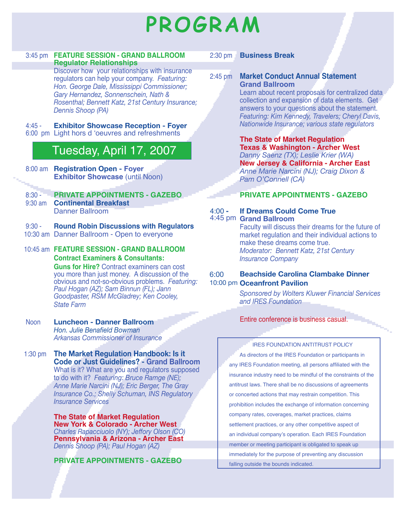# **PROGRAM**

#### 3:45 pm **FEATURE SESSION - GRAND BALLROOM Regulator Relationships**

Discover how your relationships with insurance regulators can help your company. *Featuring: Hon. George Dale, Mississippi Commissioner; Gary Hernandez, Sonnenschein, Nath & Rosenthal; Bennett Katz, 21st Century Insurance; Dennis Shoop (PA)* 

#### 4:45 - **Exhibitor Showcase Reception - Foyer**

6:00 pm Light hors d 'oeuvres and refreshments

## Tuesday, April 17, 2007

 8:00 am **Registration Open - Foyer Exhibitor Showcase (until Noon)** 

#### 8:30 - **PRIVATE APPOINTMENTS - GAZEBO**

 9:30 am **Continental Breakfast** Danner Ballroom

#### 9:30 - **Round Robin Discussions with Regulators**

10:30 am Danner Ballroom - Open to everyone

#### 10:45 am **FEATURE SESSION - GRAND BALLROOM Contract Examiners & Consultants:**

**Guns for Hire?** Contract examiners can cost you more than just money. A discussion of the obvious and not-so-obvious problems. *Featuring: Paul Hogan (AZ); Sam Binnun (FL); Jann Goodpaster, RSM McGladrey; Ken Cooley, State Farm*

#### Noon **Luncheon - Danner Ballroom** *Hon. Julie Benafeld Bowman Arkansas Commissioner of Insurance*

1:30 pm **The Market Regulation Handbook: Is it Code or Just Guidelines? - Grand Ballroom** What is it? What are you and regulators supposed to do with it? *Featuring: Bruce Ramge (NE); Anne Marie Narcini (NJ); Eric Berger, The Gray Insurance Co.; Shelly Schuman, INS Regulatory Insurance Services*

> **The State of Market Regulation New York & Colorado - Archer West** *Charles Rapacciuolo (NY); Jeffory Olson (CO)* **Pennsylvania & Arizona - Archer East** *Dennis Shoop (PA); Paul Hogan (AZ)*

**PRIVATE APPOINTMENTS - GAZEBO**

#### 2:30 pm **Business Break**

### 2:45 pm **Market Conduct Annual Statement Grand Ballroom**

Learn about recent proposals for centralized data collection and expansion of data elements. Get answers to your questions about the statement. *Featuring: Kim Kennedy, Travelers; Cheryl Davis, Nationwide Insurance; various state regulators*

**The State of Market Regulation Texas & Washington - Archer West** *Danny Saenz (TX); Leslie Krier (WA)* **New Jersey & California - Archer East** *Anne Marie Narcini (NJ); Craig Dixon & Pam O'Connell (CA)*

### **PRIVATE APPOINTMENTS - GAZEBO**

#### 4:00 **- If Dreams Could Come True** 4:45 pm **Grand Ballroom**

#### Faculty will discuss their dreams for the future of market regulation and their individual actions to make these dreams come true. *Moderator: Bennett Katz, 21st Century Insurance Company*

#### **Beachside Carolina Clambake Dinner** 10:00 pm Oceanfront Pavilion 6:00

*Sponsored by Wolters Kluwer Financial Services and IRES Foundation*

#### Entire conference is business casual.

#### IRES FOUNDATION ANTITRUST POLICY

As directors of the IRES Foundation or participants in any IRES Foundation meeting, all persons affliated with the insurance industry need to be mindful of the constraints of the antitrust laws. There shall be no discussions of agreements or concerted actions that may restrain competition. This prohibition includes the exchange of information concerning company rates, coverages, market practices, claims settlement practices, or any other competitive aspect of an individual company's operation. Each IRES Foundation member or meeting participant is obligated to speak up immediately for the purpose of preventing any discussion falling outside the bounds indicated.